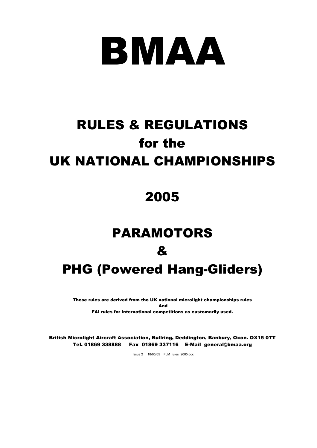

# RULES & REGULATIONS for the UK NATIONAL CHAMPIONSHIPS

## 2005

# PARAMOTORS & PHG (Powered Hang-Gliders)

These rules are derived from the UK national microlight championships rules And FAI rules for international competitions as customarily used.

British Microlight Aircraft Association, Bullring, Deddington, Banbury, Oxon. OX15 0TT Tel. 01869 338888 Fax 01869 337116 E-Mail general@bmaa.org

Issue 2 18/05/05 FLM\_rules\_2005.doc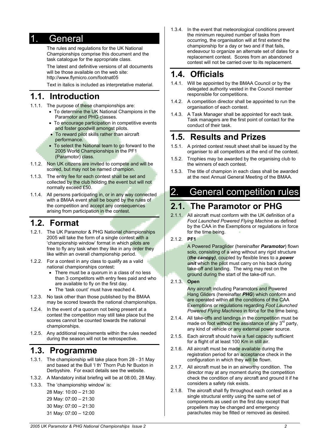#### 1. General

The rules and regulations for the UK National Championships comprise this document and the task catalogue for the appropriate class.

The latest and definitive versions of all documents will be those available on the web site: http://www.flymicro.com/footnat05

Text in italics is included as interpretative material.

#### **1.1. Introduction**

- 1.1.1. The purpose of these championships are:
	- To determine the UK National Champions in the Paramotor and PHG classes.
	- To encourage participation in competitive events and foster goodwill amongst pilots.
	- To reward pilot skills rather than aircraft performance.
	- To select the National team to go forward to the 2005 World Championships in the PF1 (Paramotor) class.
- 1.1.2. Non UK citizens are invited to compete and will be scored, but may not be named champion.
- 1.1.3. The entry fee for each contest shall be set and collected by the club holding the event but will not normally exceed £50.
- 1.1.4. All persons participating in, or in any way connected with a BMAA event shall be bound by the rules of the competition and accept any consequences arising from participation in the contest.

#### **1.2. Format**

- 1.2.1. The UK Paramotor & PHG National championships 2005 will take the form of a single contest with a 'championship window' format in which pilots are free to fly any task when they like in any order they like within an overall championship period.
- 1.2.2. For a contest in any class to qualify as a valid national championships contest:
	- There must be a quorum in a class of no less than 3 competitors with entry fees paid and who are available to fly on the first day.
	- The 'task count' must have reached 4.
- 1.2.3. No task other than those published by the BMAA may be scored towards the national championships.
- 1.2.4. In the event of a quorum not being present at a contest the competition may still take place but the scores cannot be counted towards the national championships.
- 1.2.5. Any additional requirements within the rules needed during the season will not be retrospective.

#### **1.3. Programme**

- 1.3.1. The championship will take place from 28 31 May and based at the Bull 'I th' Thorn Pub Nr Buxton in Derbyshire. For exact details see the website.
- 1.3.2. A Mandatory initial briefing will be at 08:00, 28 May.
- 1.3.3. The 'championship window' is:

28 May: 10:00 – 21:30 29 May: 07:00 – 21:30 30 May: 07:00 – 21:30 31 May: 07:00 – 12:00 1.3.4. In the event that meteorological conditions prevent the minimum required number of tasks from occurring, the organisation will at first extend the championship for a day or two and if that fails, endeavour to organize an alternate set of dates for a replacement contest. Scores from an abandoned contest will not be carried over to its replacement.

#### **1.4. Officials**

- 1.4.1. Will be appointed by the BMAA Council or by the delegated authority vested in the Council member responsible for competitions.
- 1.4.2. A competition director shall be appointed to run the organisation of each contest.
- 1.4.3. A Task Manager shall be appointed for each task. Task managers are the first point of contact for the conduct of their task.

#### **1.5. Results and Prizes**

- 1.5.1. A printed contest result sheet shall be issued by the organiser to all competitors at the end of the contest.
- 1.5.2. Trophies may be awarded by the organising club to the winners of each contest.
- 1.5.3. The title of champion in each class shall be awarded at the next Annual General Meeting of the BMAA.

## 2. General competition rules

#### **2.1. The Paramotor or PHG**

- 2.1.1. All aircraft must conform with the UK definition of a *Foot Launched Powered Flying Machine* as defined by the CAA in the Exemptions or regulations in force for the time being.
- 2.1.2. **PF1**

A Powered Paraglider (hereinafter *Paramotor*) flown solo, consisting of a wing without any rigid structure (*the canopy)*, coupled by flexible lines to a *power unit* which the pilot must carry on his back during take-off and landing. The wing may rest on the ground during the start of the take-off run.

2.1.3. **Open**

Any aircraft including Paramotors and Powered Hang Gliders (hereinafter *PHG*) which conform and

- are operated within all the conditions of the CAA Exemptions or regulations regarding *Foot Launched Powered Flying Machines* in force for the time being.
- 2.1.4. All take-offs and landings in the competition must be made on foot without the assistance of any 3<sup>rd</sup> party, any kind of vehicle or any external power source.
- 2.1.5. Each aircraft should have a fuel capacity sufficient for a flight of at least 100 Km in still air.
- 2.1.6. All aircraft must be made available during the registration period for an acceptance check in the configuration in which they will be flown.
- 2.1.7. All aircraft must be in an airworthy condition. The director may at any moment during the competition check the condition of any aircraft and ground it if he considers a safety risk exists.
- 2.1.8. The aircraft shall fly throughout each contest as a single structural entity using the same set of components as used on the first day except that propellers may be changed and emergency parachutes may be fitted or removed as desired.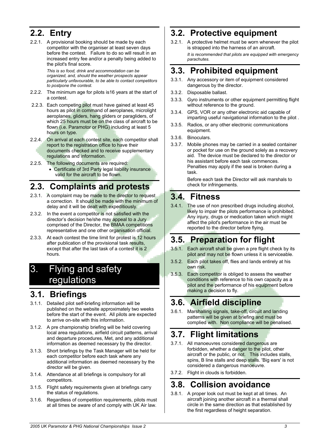## **2.2. Entry**

2.2.1. A provisional booking should be made by each competitor with the organiser at least seven days before the contest. Failure to do so will result in an increased entry fee and/or a penalty being added to the pilot's final score.

> *This is so food, drink and accommodation can be organized, and, should the weather prospects appear particularly unfavourable, to be able to contact competitors to postpone the contest.*

- 2.2.2. The minimum age for pilots is16 years at the start of a contest.
- 2.2.3. Each competing pilot must have gained at least 45 hours as pilot in command of aeroplanes, microlight aeroplanes, gliders, hang gliders or paragliders, of which 25 hours must be on the class of aircraft to be flown (i.e. Paramotor or PHG) including at least 5 hours on type.
- 2.2.4. On arrival at each contest site, each competitor shall report to the registration office to have their documents checked and to receive supplementary regulations and information.
- 2.2.5. The following documents are required: • Certificate of 3rd Party legal liability insurance valid for the aircraft to be flown.

## **2.3. Complaints and protests**

- 2.3.1. A complaint may be made to the director to request a correction. It should be made with the minimum of delay and it will be dealt with expeditiously.
- 2.3.2. In the event a competitor is not satisfied with the director's decision he/she may appeal to a Jury comprised of the Director, the BMAA competitions representative and one other organisation official.
- 2.3.3. At each contest the time limit for protest is 12 hours after publication of the provisional task results, except that after the last task of a contest it is 2 hours.

## 3. Flying and safety regulations

## **3.1. Briefings**

- 3.1.1. Detailed pilot self-briefing information will be published on the website approximately two weeks before the start of the event. All pilots are expected to arrive on-site with this information.
- 3.1.2. A pre championship briefing will be held covering local area regulations, airfield circuit patterns, arrival and departure procedures, Met, and any additional information as deemed necessary by the director.
- 3.1.3. Short briefings by the Task Manager will be held for each competitor before each task where any additional information as deemed necessary by the director will be given.
- 3.1.4. Attendance at all briefings is compulsory for all competitors.
- 3.1.5. Flight safety requirements given at briefings carry the status of regulations.
- 3.1.6. Regardless of competition requirements, pilots must at all times be aware of and comply with UK Air law.

## **3.2. Protective equipment**

3.2.1. A protective helmet must be worn whenever the pilot is strapped into the harness of an aircraft. *It is recommended that pilots are equipped with emergency parachutes.* 

## **3.3. Prohibited equipment**

- 3.3.1. Any accessory or item of equipment considered dangerous by the director.
- 3.3.2. Disposable ballast.
- 3.3.3. Gyro instruments or other equipment permitting flight without reference to the ground.
- 3.3.4. GPS, VOR or any other electronic aid capable of imparting useful navigational information to the pilot .
- 3.3.5. Radios, or any other electronic communications equipment.
- 3.3.6. Binoculars.
- 3.3.7. Mobile phones may be carried in a sealed container or pocket for use on the ground solely as a recovery aid. The device must be declared to the director or his assistant before each task commences. Penalties may apply if the seal is broken during a task.

Before each task the Director will ask marshals to check for infringements.

#### **3.4. Fitness**

3.4.1. The use of non prescribed drugs including alcohol, likely to impair the pilots performance is prohibited. Any injury, drugs or medication taken which might affect the pilot's performance in the air must be reported to the director before flying.

## **3.5. Preparation for flight**

- 3.5.1. Each aircraft shall be given a pre flight check by its pilot and may not be flown unless it is serviceable.
- 3.5.2. Each pilot takes off, flies and lands entirely at his own risk.
- 3.5.3. Each competitor is obliged to assess the weather conditions with reference to his own capacity as a pilot and the performance of his equipment before making a decision to fly.

## **3.6. Airfield discipline**

3.6.1. Marshalling signals, take-off, circuit and landing patterns will be given at briefing and must be complied with. Non compliance will be penalised.

## **3.7. Flight limitations**

- 3.7.1. All manoeuvres considered dangerous are forbidden, whether a danger to the pilot, other aircraft or the public, or not. This includes stalls, spins, B line stalls and deep stalls. 'Big ears' is not considered a dangerous manoeuvre.
- 3.7.2. Flight in clouds is forbidden.

## **3.8. Collision avoidance**

3.8.1. A proper look out must be kept at all times. An aircraft joining another aircraft in a thermal shall circle in the same direction as that established by the first regardless of height separation.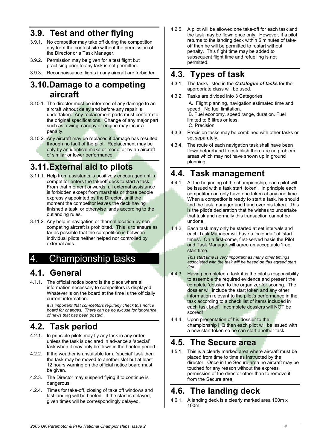#### **3.9. Test and other flying**

- 3.9.1. No competitor may take off during the competition day from the contest site without the permission of the Director or a Task Manager.
- 3.9.2. Permission may be given for a test flight but practising prior to any task is not permitted.
- 3.9.3. Reconnaissance flights in any aircraft are forbidden.

#### **3.10.Damage to a competing aircraft**

- 3.10.1. The director must be informed of any damage to an aircraft without delay and before any repair is undertaken. Any replacement parts must conform to the original specifications. Change of any major part such as a wing, canopy or engine may incur a penalty.
- 3.10.2. Any aircraft may be replaced if damage has resulted through no fault of the pilot. Replacement may be only by an identical make or model or by an aircraft of similar or lower performance.

## **3.11.External aid to pilots**

- 3.11.1. Help from assistants is positively encouraged until a competitor enters the takeoff deck to start a task. From that moment onwards, all external assistance is forbidden except from marshals or those people expressly appointed by the Director, until the moment the competitor leaves the deck having finished a task, or otherwise lands according to the outlanding rules.
- 3.11.2. Any help in navigation or thermal location by non competing aircraft is prohibited. This is to ensure as far as possible that the competition is between individual pilots neither helped nor controlled by external aids.

## 4. Championship tasks

#### **4.1. General**

4.1.1. The official notice board is the place where all information necessary to competitors is displayed. Whatever is on the board at the time is the officially current information.

*It is important that competitors regularly check this notice board for changes. There can be no excuse for ignorance of news that has been posted.* 

## **4.2. Task period**

- 4.2.1. In principle pilots may fly any task in any order unless the task is declared in advance a 'special' task when it may only be flown in the briefed period.
- 4.2.2. If the weather is unsuitable for a 'special' task then the task may be moved to another slot but at least 12 hours warning on the official notice board must be given.
- 4.2.3. The Director may suspend flying if to continue is dangerous.
- 4.2.4. Times for take-off, closing of take off windows and last landing will be briefed. If the start is delayed, given times will be correspondingly delayed.

4.2.5. A pilot will be allowed one take-off for each task and the task may be flown once only. However, if a pilot returns to the landing deck within 5 minutes of takeoff then he will be permitted to restart without penalty. This flight time may be added to subsequent flight time and refuelling is not permitted.

#### **4.3. Types of task**

- 4.3.1. The tasks listed in the *Catalogue of tasks* for the appropriate class will be used.
- 4.3.2. Tasks are divided into 3 Categories

 A. Flight planning, navigation estimated time and speed. No fuel limitation. B. Fuel economy, speed range, duration. Fuel limited to 6 litres or less. C. Precision

- 4.3.3. Precision tasks may be combined with other tasks or set separately.
- 4.3.4. The route of each navigation task shall have been flown beforehand to establish there are no problem areas which may not have shown up in ground planning.

#### **4.4. Task management**

- 4.4.1. At the beginning of the championship, each pilot will be issued with a task start 'token'. In principle each competitor can only have one token at any one time. When a competitor is ready to start a task, he should find the task manager and hand over his token. This is the pilot's declaration that he wishes to undertake that task and normally this transaction cannot be undone.
- 4.4.2. Each task may only be started at set intervals and each Task Manager will have a 'calendar' of 'start times'. On a first-come, first-served basis the Pilot and Task Manager will agree an acceptable 'free' start time.

*This start time is very important as many other timings associated with the task will be based on this agreed start time.* 

- 4.4.3. Having completed a task it is the pilot's responsibility to assemble the required evidence and present the complete 'dossier' to the organizer for scoring. The dossier will include the start token and any other
	- information relevant to the pilot's performance in the task according to a check list of items included in each task brief. Incomplete dossiers will NOT be scored!
- 4.4.4. Upon presentation of his dossier to the championship HQ then each pilot will be issued with a new start token so he can start another task.

#### **4.5. The Secure area**

4.5.1. This is a clearly marked area where aircraft must be placed from time to time as instructed by the director. Once in the Secure area no aircraft may be touched for any reason without the express permission of the director other than to remove it from the Secure area.

#### **4.6. The landing deck**

4.6.1. A landing deck is a clearly marked area 100m x 100m.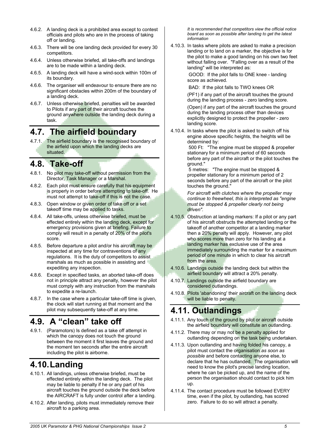- 4.6.2. A landing deck is a prohibited area except to contest officials and pilots who are in the process of taking off or landing.
- 4.6.3. There will be one landing deck provided for every 30 competitors.
- 4.6.4. Unless otherwise briefed, all take-offs and landings are to be made within a landing deck.
- 4.6.5. A landing deck will have a wind-sock within 100m of its boundary.
- 4.6.6. The organiser will endeavour to ensure there are no significant obstacles within 200m of the boundary of a landing deck.
- 4.6.7. Unless otherwise briefed, penalties will be awarded to Pilots if any part of their aircraft touches the ground anywhere outside the landing deck during a task.

#### **4.7. The airfield boundary**

4.7.1. The airfield boundary is the recognised boundary of the airfield upon which the landing decks are situated.

#### **4.8. Take-off**

- 4.8.1. No pilot may take-off without permission from the Director, Task Manager or a Marshal.
- 4.8.2. Each pilot must ensure carefully that his equipment is properly in order before attempting to take-off. He must not attempt to take-off if this is not the case.
- 4.8.3. Open window or given order of take off or a set takeoff time may be applied to tasks.
- 4.8.4. All take-offs, unless otherwise briefed, must be effected entirely within the landing deck, except for emergency provisions given at briefing. Failure to comply will result in a penalty of 20% of the pilot's score.
- 4.8.5. Before departure a pilot and/or his aircraft may be inspected at any time for contraventions of any regulations. It is the duty of competitors to assist marshals as much as possible in assisting and expediting any inspection.
- 4.8.6. Except in specified tasks, an aborted take-off does not in principle attract any penalty, however the pilot must comply with any instruction from the marshals to expedite a re-launch.
- 4.8.7. In the case where a particular take-off time is given, the clock will start running at that moment and the pilot may subsequently take-off at any time.

## **4.9. A "clean" take off**

4.9.1. (Paramotors) Is defined as a take off attempt in which the canopy does not touch the ground between the moment it first leaves the ground and the moment ten seconds after the entire aircraft including the pilot is airborne.

## **4.10. Landing**

- 4.10.1. All landings, unless otherwise briefed, must be effected entirely within the landing deck. The pilot may be liable to penalty if he or any part of his aircraft touches the ground outside the deck before the AIRCRAFT is fully under control after a landing.
- 4.10.2. After landing, pilots must immediately remove their aircraft to a parking area.

*It is recommended that competitors view the official notice board as soon as possible after landing to get the latest information* 

4.10.3. In tasks where pilots are asked to make a precision landing or to land on a marker, the objective is for the pilot to make a good landing on his own two feet without falling over. "Falling over as a result of the landing" will be interpreted as:

> GOOD: If the pilot falls to ONE knee - landing score as achieved.

BAD: If the pilot falls to TWO knees OR

(PF1) if any part of the aircraft touches the ground during the landing process - zero landing score.

(Open) if any part of the aircraft touches the ground during the landing process other than devices explicitly designed to protect the propeller - zero landing score.

4.10.4. In tasks where the pilot is asked to switch off his engine above specific heights, the heights will be determined by:

 500 Ft: "The engine must be stopped & propeller stationary for a minimum period of 60 seconds before any part of the aircraft or the pilot touches the ground."

 5 metres: "The engine must be stopped & propeller stationary for a minimum period of 2 seconds before any part of the aircraft or the pilot touches the ground."

*For aircraft with clutches where the propeller may continue to freewheel, this is interpreted as "engine must be stopped & propeller clearly not being driven".* 

- 4.10.5. Obstruction at landing markers: If a pilot or any part of his aircraft obstructs the attempted landing or the takeoff of another competitor at a landing marker then a 20% penalty will apply. However, any pilot who scores more than zero for his landing at a landing marker has exclusive use of the area immediately surrounding the marker for a maximum period of one minute in which to clear his aircraft from the area.
- 4.10.6. Landings outside the landing deck but within the airfield boundary will attract a 20% penalty.
- 4.10.7. Landings outside the airfield boundary are considered outlandings.
- 4.10.8. Pilots 'abandoning' their aircraft on the landing deck will be liable to penalty.

## **4.11. Outlandings**

- 4.11.1. Any touch of the ground by pilot or aircraft outside the airfield boundary will constitute an outlanding.
- 4.11.2. There may or may not be a penalty applied for outlanding depending on the task being undertaken.
- 4.11.3. Upon outlanding and having folded his canopy, a pilot must contact the organisation *as soon as possible* and before contacting anyone else, to declare that he has outlanded. The organisation will need to know the pilot's precise landing location, where he can be picked up, and the name of the person the organisation should contact to pick him up.
- 4.11.4. The contact procedure must be followed EVERY time, even if the pilot, by outlanding, has scored zero. Failure to do so will attract a penalty.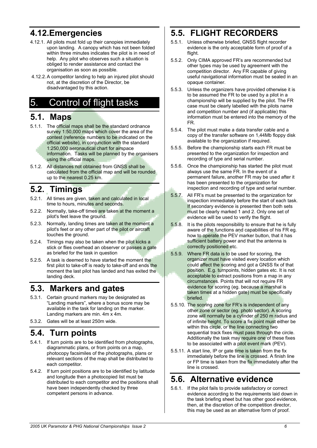## **4.12.Emergencies**

- 4.12.1. All pilots must fold up their canopies immediately upon landing. A canopy which has not been folded within three minutes indicates the pilot is in need of help. Any pilot who observes such a situation is obliged to render assistance and contact the organisation as soon as possible.
- 4.12.2. A competitor landing to help an injured pilot should not, at the discretion of the Director, be disadvantaged by this action.

## 5. Control of flight tasks

#### **5.1. Maps**

- 5.1.1. The official maps shall be the standard ordnance survey 1:50,000 maps which cover the area of the contest (reference numbers to be indicated on the official website), in conjunction with the standard 1:250,000 aeronautical chart for airspace information. Tasks will be planned by the organisers using the official maps.
- 5.1.2. All distances not obtained from GNSS shall be calculated from the official map and will be rounded up to the nearest 0.25 km.

## **5.2. Timings**

- 5.2.1. All times are given, taken and calculated in local time to hours, minutes and seconds.
- 5.2.2. Normally, take-off times are taken at the moment a pilot's feet leave the ground.
- 5.2.3. Normally, landing times are taken at the moment a pilot's feet or any other part of the pilot or aircraft touches the ground.
- 5.2.4. Timings may also be taken when the pilot kicks a stick or flies overhead an observer or passes a gate as briefed for the task in question
- 5.2.5. A task is deemed to have started the moment the first pilot to take-off is ready to take-off and ends the moment the last pilot has landed and has exited the landing deck.

#### **5.3. Markers and gates**

- 5.3.1. Certain ground markers may be designated as "Landing markers", where a bonus score may be available in the task for landing on the marker. Landing markers are min. 4m x 4m.
- 5.3.2. Gates will be at least 250m wide.

## **5.4. Turn points**

- 5.4.1. If turn points are to be identified from photographs, diagrammatic plans, or from points on a map, photocopy facsimiles of the photographs, plans or relevant sections of the map shall be distributed to each competitor.
- 5.4.2. If turn point positions are to be identified by latitude and longitude then a photocopied list must be distributed to each competitor and the positions shall have been independently checked by three competent persons in advance.

## **5.5. FLIGHT RECORDERS**

- 5.5.1. Unless otherwise briefed, GNSS flight recorder evidence is the only acceptable form of proof of a flight.
- 5.5.2. Only CIMA approved FR's are recommended but other types may be used by agreement with the competition director. Any FR capable of giving useful navigational information must be sealed in an opaque container.
- 5.5.3. Unless the organizers have provided otherwise it is to be assumed the FR to be used by a pilot in a championship will be supplied by the pilot. The FR case must be clearly labelled with the pilots name and competition number and (if applicable) this information must be entered into the memory of the FR.
- 5.5.4. The pilot must make a data transfer cable and a copy of the transfer software on 1,44Mb floppy disk available to the organization if required.
- 5.5.5. Before the championship starts each FR must be presented to the organization for inspection and recording of type and serial number.
- 5.5.6. Once the championship has started the pilot must always use the same FR. In the event of a permanent failure, another FR may be used after it has been presented to the organization for inspection and recording of type and serial number.
- 5.5.7. All FR's must be presented to the organization for inspection immediately before the start of each task. If secondary evidence is presented then both sets must be clearly marked 1 and 2. Only one set of evidence will be used to verify the flight.
- 5.5.8. It is the pilots responsibility to ensure that he is fully aware of the functions and capabilities of his FR eg. how to operate the PEV marker button, that it has sufficient battery power and that the antenna is correctly positioned etc.
- 5.5.9. Where FR data is to be used for scoring, the organizer must have visited every location which could affect the scoring and got a GNSS fix of that position. E.g. turnpoints, hidden gates etc. It is not acceptable to extract positions from a map in any circumstances. Points that will not require FR evidence for scoring (eg. because a marshal is taken times at a hidden gate) must be specifically briefed.
- 5.5.10. The scoring zone for FR's is independent of any other zone or sector (eg. photo sector). A scoring zone will normally be a cylinder of 250 m radius and of infinite height. To score a fix point must either be within this circle, or the line connecting two sequential track fixes must pass through the circle. Additionally the task may require one of these fixes to be associated with a pilot event mark (PEV).
- 5.5.11. A start line, IP or gate time is taken from the fix immediately before the line is crossed. A finish line or FP time is taken from the fix immediately after the line is crossed.

#### **5.6. Alternative evidence**

5.6.1. If the pilot fails to provide satisfactory or correct evidence according to the requirements laid down in the task briefing sheet but has other good evidence, then, at the discretion of the competition director, this may be used as an alternative form of proof.